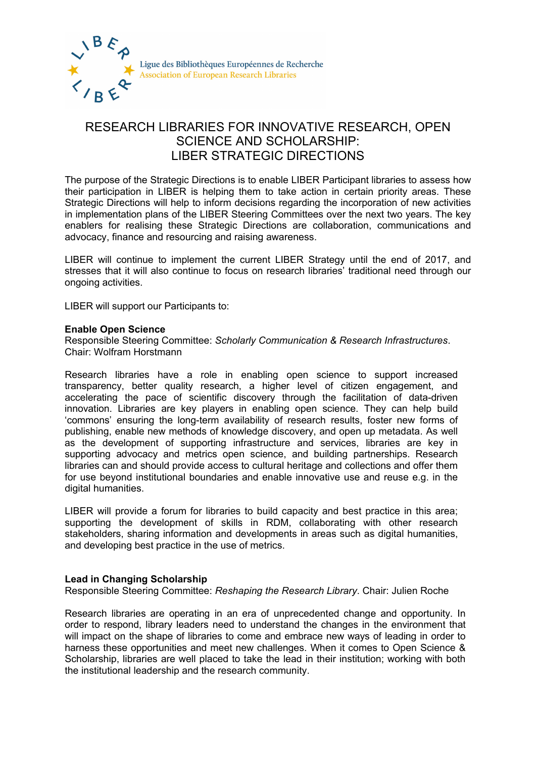

## RESEARCH LIBRARIES FOR INNOVATIVE RESEARCH, OPEN SCIENCE AND SCHOLARSHIP: LIBER STRATEGIC DIRECTIONS

The purpose of the Strategic Directions is to enable LIBER Participant libraries to assess how their participation in LIBER is helping them to take action in certain priority areas. These Strategic Directions will help to inform decisions regarding the incorporation of new activities in implementation plans of the LIBER Steering Committees over the next two years. The key enablers for realising these Strategic Directions are collaboration, communications and advocacy, finance and resourcing and raising awareness.

LIBER will continue to implement the current LIBER Strategy until the end of 2017, and stresses that it will also continue to focus on research libraries' traditional need through our ongoing activities.

LIBER will support our Participants to:

## **Enable Open Science**

Responsible Steering Committee: *Scholarly Communication & Research Infrastructures*. Chair: Wolfram Horstmann

Research libraries have a role in enabling open science to support increased transparency, better quality research, a higher level of citizen engagement, and accelerating the pace of scientific discovery through the facilitation of data-driven innovation. Libraries are key players in enabling open science. They can help build 'commons' ensuring the long-term availability of research results, foster new forms of publishing, enable new methods of knowledge discovery, and open up metadata. As well as the development of supporting infrastructure and services, libraries are key in supporting advocacy and metrics open science, and building partnerships. Research libraries can and should provide access to cultural heritage and collections and offer them for use beyond institutional boundaries and enable innovative use and reuse e.g. in the digital humanities.

LIBER will provide a forum for libraries to build capacity and best practice in this area; supporting the development of skills in RDM, collaborating with other research stakeholders, sharing information and developments in areas such as digital humanities, and developing best practice in the use of metrics.

## **Lead in Changing Scholarship**

Responsible Steering Committee: *Reshaping the Research Library*. Chair: Julien Roche

Research libraries are operating in an era of unprecedented change and opportunity. In order to respond, library leaders need to understand the changes in the environment that will impact on the shape of libraries to come and embrace new ways of leading in order to harness these opportunities and meet new challenges. When it comes to Open Science & Scholarship, libraries are well placed to take the lead in their institution; working with both the institutional leadership and the research community.